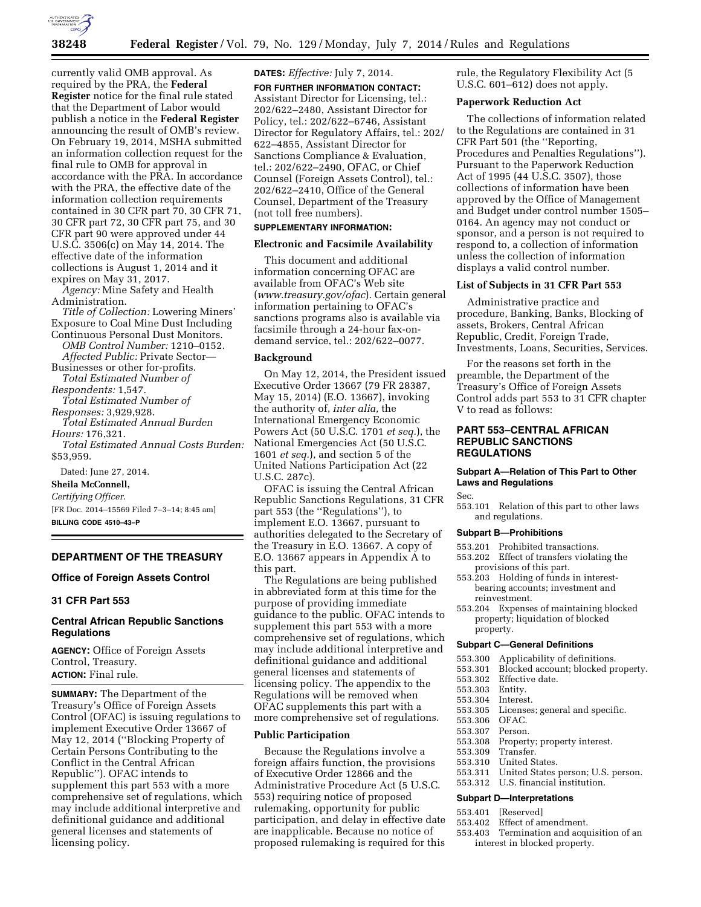

# **38248 Federal Register** / Vol. 79, No. 129 / Monday, July 7, 2014 / Rules and Regulations

currently valid OMB approval. As required by the PRA, the **Federal Register** notice for the final rule stated that the Department of Labor would publish a notice in the **Federal Register**  announcing the result of OMB's review. On February 19, 2014, MSHA submitted an information collection request for the final rule to OMB for approval in accordance with the PRA. In accordance with the PRA, the effective date of the information collection requirements contained in 30 CFR part 70, 30 CFR 71, 30 CFR part 72, 30 CFR part 75, and 30 CFR part 90 were approved under 44 U.S.C. 3506(c) on May 14, 2014. The effective date of the information collections is August 1, 2014 and it expires on May 31, 2017.

*Agency:* Mine Safety and Health Administration.

*Title of Collection:* Lowering Miners' Exposure to Coal Mine Dust Including Continuous Personal Dust Monitors. *OMB Control Number:* 1210–0152. *Affected Public:* Private Sector— Businesses or other for-profits. *Total Estimated Number of Respondents:* 1,547. *Total Estimated Number of Responses:* 3,929,928. *Total Estimated Annual Burden Hours:* 176,321. *Total Estimated Annual Costs Burden:*  \$53,959. Dated: June 27, 2014. **Sheila McConnell,**  *Certifying Officer.*  [FR Doc. 2014–15569 Filed 7–3–14; 8:45 am] **BILLING CODE 4510–43–P** 

# **DEPARTMENT OF THE TREASURY**

### **Office of Foreign Assets Control**

### **31 CFR Part 553**

## **Central African Republic Sanctions Regulations**

**AGENCY:** Office of Foreign Assets Control, Treasury. **ACTION:** Final rule.

**SUMMARY:** The Department of the Treasury's Office of Foreign Assets Control (OFAC) is issuing regulations to implement Executive Order 13667 of May 12, 2014 (''Blocking Property of Certain Persons Contributing to the Conflict in the Central African Republic''). OFAC intends to supplement this part 553 with a more comprehensive set of regulations, which may include additional interpretive and definitional guidance and additional general licenses and statements of licensing policy.

**DATES:** *Effective:* July 7, 2014.

**FOR FURTHER INFORMATION CONTACT:**  Assistant Director for Licensing, tel.: 202/622–2480, Assistant Director for Policy, tel.: 202/622–6746, Assistant Director for Regulatory Affairs, tel.: 202/ 622–4855, Assistant Director for Sanctions Compliance & Evaluation, tel.: 202/622–2490, OFAC, or Chief Counsel (Foreign Assets Control), tel.: 202/622–2410, Office of the General Counsel, Department of the Treasury (not toll free numbers).

# **SUPPLEMENTARY INFORMATION:**

## **Electronic and Facsimile Availability**

This document and additional information concerning OFAC are available from OFAC's Web site (*[www.treasury.gov/ofac](http://www.treasury.gov/ofac)*). Certain general information pertaining to OFAC's sanctions programs also is available via facsimile through a 24-hour fax-ondemand service, tel.: 202/622–0077.

#### **Background**

On May 12, 2014, the President issued Executive Order 13667 (79 FR 28387, May 15, 2014) (E.O. 13667), invoking the authority of, *inter alia,* the International Emergency Economic Powers Act (50 U.S.C. 1701 *et seq.*), the National Emergencies Act (50 U.S.C. 1601 *et seq.*), and section 5 of the United Nations Participation Act (22 U.S.C. 287c).

OFAC is issuing the Central African Republic Sanctions Regulations, 31 CFR part 553 (the ''Regulations''), to implement E.O. 13667, pursuant to authorities delegated to the Secretary of the Treasury in E.O. 13667. A copy of E.O. 13667 appears in Appendix A to this part.

The Regulations are being published in abbreviated form at this time for the purpose of providing immediate guidance to the public. OFAC intends to supplement this part 553 with a more comprehensive set of regulations, which may include additional interpretive and definitional guidance and additional general licenses and statements of licensing policy. The appendix to the Regulations will be removed when OFAC supplements this part with a more comprehensive set of regulations.

### **Public Participation**

Because the Regulations involve a foreign affairs function, the provisions of Executive Order 12866 and the Administrative Procedure Act (5 U.S.C. 553) requiring notice of proposed rulemaking, opportunity for public participation, and delay in effective date are inapplicable. Because no notice of proposed rulemaking is required for this

rule, the Regulatory Flexibility Act (5 U.S.C. 601–612) does not apply.

## **Paperwork Reduction Act**

The collections of information related to the Regulations are contained in 31 CFR Part 501 (the ''Reporting, Procedures and Penalties Regulations''). Pursuant to the Paperwork Reduction Act of 1995 (44 U.S.C. 3507), those collections of information have been approved by the Office of Management and Budget under control number 1505– 0164. An agency may not conduct or sponsor, and a person is not required to respond to, a collection of information unless the collection of information displays a valid control number.

### **List of Subjects in 31 CFR Part 553**

Administrative practice and procedure, Banking, Banks, Blocking of assets, Brokers, Central African Republic, Credit, Foreign Trade, Investments, Loans, Securities, Services.

For the reasons set forth in the preamble, the Department of the Treasury's Office of Foreign Assets Control adds part 553 to 31 CFR chapter V to read as follows:

## **PART 553–CENTRAL AFRICAN REPUBLIC SANCTIONS REGULATIONS**

### **Subpart A—Relation of This Part to Other Laws and Regulations**

Sec.

553.101 Relation of this part to other laws and regulations.

#### **Subpart B—Prohibitions**

- 553.201 Prohibited transactions.
- 553.202 Effect of transfers violating the provisions of this part.
- 553.203 Holding of funds in interestbearing accounts; investment and reinvestment.
- 553.204 Expenses of maintaining blocked property; liquidation of blocked property.

#### **Subpart C—General Definitions**

- 553.300 Applicability of definitions.
- 553.301 Blocked account; blocked property.
- Effective date.
- 553.303 Entity.
- 
- 553.304 Interest. Licenses; general and specific.
- 553.306 OFAC.
- 553.307 Person.
	- Property; property interest.
- 553.309 Transfer.
	- United States.
- 553.311 United States person; U.S. person.
- 553.312 U.S. financial institution.

## **Subpart D—Interpretations**

- 553.401 [Reserved]<br>553.402 Effect of an
	- Effect of amendment.
	- 553.403 Termination and acquisition of an interest in blocked property.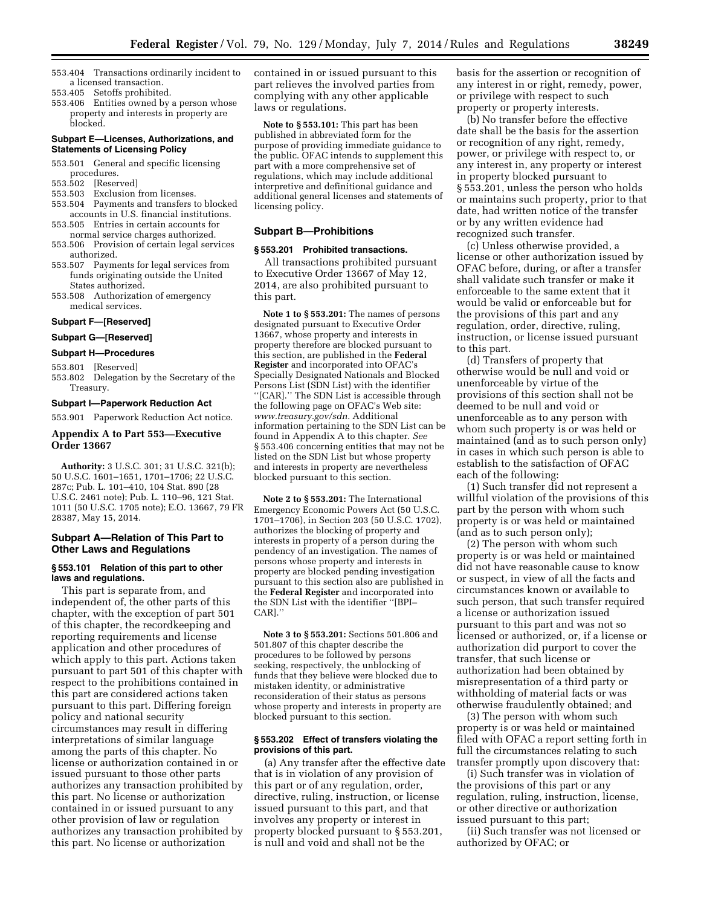- 553.404 Transactions ordinarily incident to a licensed transaction.
- 553.405 Setoffs prohibited.
- 553.406 Entities owned by a person whose property and interests in property are blocked.

## **Subpart E—Licenses, Authorizations, and Statements of Licensing Policy**

- 553.501 General and specific licensing procedures.<br>553.502 [Reser
- 553.502 [Reserved] Exclusion from licenses.
- 553.504 Payments and transfers to blocked
- accounts in U.S. financial institutions. 553.505 Entries in certain accounts for
- normal service charges authorized.
- 553.506 Provision of certain legal services authorized.
- 553.507 Payments for legal services from funds originating outside the United States authorized.
- 553.508 Authorization of emergency medical services.

### **Subpart F—[Reserved]**

# **Subpart G—[Reserved]**

### **Subpart H—Procedures**

## 553.801 [Reserved]

553.802 Delegation by the Secretary of the Treasury.

#### **Subpart I—Paperwork Reduction Act**

553.901 Paperwork Reduction Act notice.

## **Appendix A to Part 553—Executive Order 13667**

**Authority:** 3 U.S.C. 301; 31 U.S.C. 321(b); 50 U.S.C. 1601–1651, 1701–1706; 22 U.S.C. 287c; Pub. L. 101–410, 104 Stat. 890 (28 U.S.C. 2461 note); Pub. L. 110–96, 121 Stat. 1011 (50 U.S.C. 1705 note); E.O. 13667, 79 FR 28387, May 15, 2014.

## **Subpart A—Relation of This Part to Other Laws and Regulations**

## **§ 553.101 Relation of this part to other laws and regulations.**

This part is separate from, and independent of, the other parts of this chapter, with the exception of part 501 of this chapter, the recordkeeping and reporting requirements and license application and other procedures of which apply to this part. Actions taken pursuant to part 501 of this chapter with respect to the prohibitions contained in this part are considered actions taken pursuant to this part. Differing foreign policy and national security circumstances may result in differing interpretations of similar language among the parts of this chapter. No license or authorization contained in or issued pursuant to those other parts authorizes any transaction prohibited by this part. No license or authorization contained in or issued pursuant to any other provision of law or regulation authorizes any transaction prohibited by this part. No license or authorization

contained in or issued pursuant to this part relieves the involved parties from complying with any other applicable laws or regulations.

**Note to § 553.101:** This part has been published in abbreviated form for the purpose of providing immediate guidance to the public. OFAC intends to supplement this part with a more comprehensive set of regulations, which may include additional interpretive and definitional guidance and additional general licenses and statements of licensing policy.

### **Subpart B—Prohibitions**

## **§ 553.201 Prohibited transactions.**

All transactions prohibited pursuant to Executive Order 13667 of May 12, 2014, are also prohibited pursuant to this part.

**Note 1 to § 553.201:** The names of persons designated pursuant to Executive Order 13667, whose property and interests in property therefore are blocked pursuant to this section, are published in the **Federal Register** and incorporated into OFAC's Specially Designated Nationals and Blocked Persons List (SDN List) with the identifier ''[CAR].'' The SDN List is accessible through the following page on OFAC's Web site: *[www.treasury.gov/sdn.](http://www.treasury.gov/sdn)* Additional information pertaining to the SDN List can be found in Appendix A to this chapter. *See*  § 553.406 concerning entities that may not be listed on the SDN List but whose property and interests in property are nevertheless blocked pursuant to this section.

**Note 2 to § 553.201:** The International Emergency Economic Powers Act (50 U.S.C. 1701–1706), in Section 203 (50 U.S.C. 1702), authorizes the blocking of property and interests in property of a person during the pendency of an investigation. The names of persons whose property and interests in property are blocked pending investigation pursuant to this section also are published in the **Federal Register** and incorporated into the SDN List with the identifier ''[BPI– CAR].''

**Note 3 to § 553.201:** Sections 501.806 and 501.807 of this chapter describe the procedures to be followed by persons seeking, respectively, the unblocking of funds that they believe were blocked due to mistaken identity, or administrative reconsideration of their status as persons whose property and interests in property are blocked pursuant to this section.

#### **§ 553.202 Effect of transfers violating the provisions of this part.**

(a) Any transfer after the effective date that is in violation of any provision of this part or of any regulation, order, directive, ruling, instruction, or license issued pursuant to this part, and that involves any property or interest in property blocked pursuant to § 553.201, is null and void and shall not be the

basis for the assertion or recognition of any interest in or right, remedy, power, or privilege with respect to such property or property interests.

(b) No transfer before the effective date shall be the basis for the assertion or recognition of any right, remedy, power, or privilege with respect to, or any interest in, any property or interest in property blocked pursuant to § 553.201, unless the person who holds or maintains such property, prior to that date, had written notice of the transfer or by any written evidence had recognized such transfer.

(c) Unless otherwise provided, a license or other authorization issued by OFAC before, during, or after a transfer shall validate such transfer or make it enforceable to the same extent that it would be valid or enforceable but for the provisions of this part and any regulation, order, directive, ruling, instruction, or license issued pursuant to this part.

(d) Transfers of property that otherwise would be null and void or unenforceable by virtue of the provisions of this section shall not be deemed to be null and void or unenforceable as to any person with whom such property is or was held or maintained (and as to such person only) in cases in which such person is able to establish to the satisfaction of OFAC each of the following:

(1) Such transfer did not represent a willful violation of the provisions of this part by the person with whom such property is or was held or maintained (and as to such person only);

(2) The person with whom such property is or was held or maintained did not have reasonable cause to know or suspect, in view of all the facts and circumstances known or available to such person, that such transfer required a license or authorization issued pursuant to this part and was not so licensed or authorized, or, if a license or authorization did purport to cover the transfer, that such license or authorization had been obtained by misrepresentation of a third party or withholding of material facts or was otherwise fraudulently obtained; and

(3) The person with whom such property is or was held or maintained filed with OFAC a report setting forth in full the circumstances relating to such transfer promptly upon discovery that:

(i) Such transfer was in violation of the provisions of this part or any regulation, ruling, instruction, license, or other directive or authorization issued pursuant to this part;

(ii) Such transfer was not licensed or authorized by OFAC; or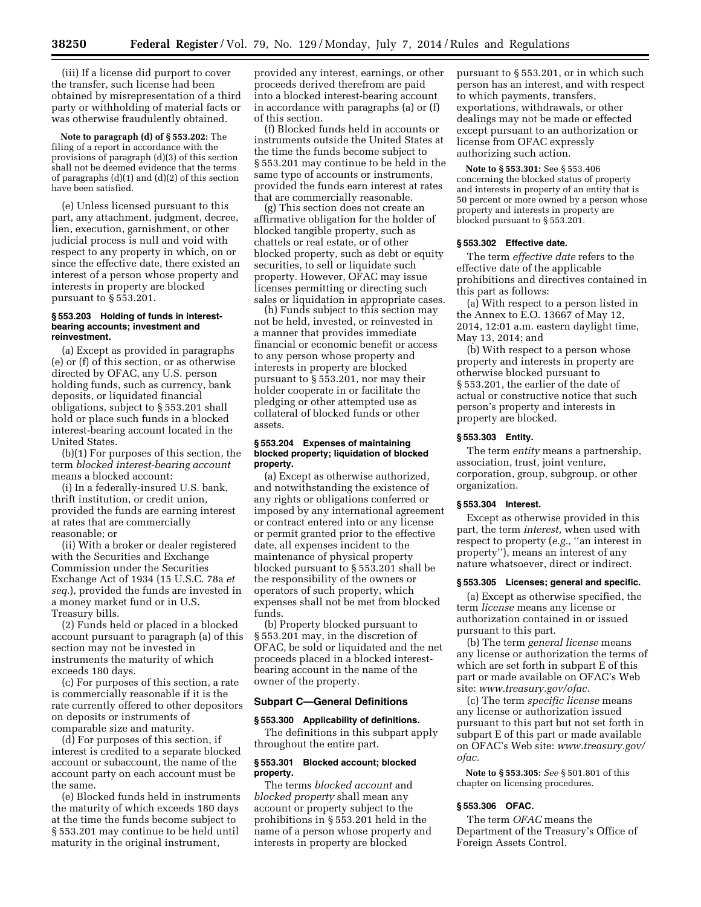(iii) If a license did purport to cover the transfer, such license had been obtained by misrepresentation of a third party or withholding of material facts or was otherwise fraudulently obtained.

**Note to paragraph (d) of § 553.202:** The filing of a report in accordance with the provisions of paragraph (d)(3) of this section shall not be deemed evidence that the terms of paragraphs (d)(1) and (d)(2) of this section have been satisfied.

(e) Unless licensed pursuant to this part, any attachment, judgment, decree, lien, execution, garnishment, or other judicial process is null and void with respect to any property in which, on or since the effective date, there existed an interest of a person whose property and interests in property are blocked pursuant to § 553.201.

#### **§ 553.203 Holding of funds in interestbearing accounts; investment and reinvestment.**

(a) Except as provided in paragraphs (e) or (f) of this section, or as otherwise directed by OFAC, any U.S. person holding funds, such as currency, bank deposits, or liquidated financial obligations, subject to § 553.201 shall hold or place such funds in a blocked interest-bearing account located in the United States.

(b)(1) For purposes of this section, the term *blocked interest-bearing account*  means a blocked account:

(i) In a federally-insured U.S. bank, thrift institution, or credit union, provided the funds are earning interest at rates that are commercially reasonable; or

(ii) With a broker or dealer registered with the Securities and Exchange Commission under the Securities Exchange Act of 1934 (15 U.S.C. 78a *et seq.*), provided the funds are invested in a money market fund or in U.S. Treasury bills.

(2) Funds held or placed in a blocked account pursuant to paragraph (a) of this section may not be invested in instruments the maturity of which exceeds 180 days.

(c) For purposes of this section, a rate is commercially reasonable if it is the rate currently offered to other depositors on deposits or instruments of comparable size and maturity.

(d) For purposes of this section, if interest is credited to a separate blocked account or subaccount, the name of the account party on each account must be the same.

(e) Blocked funds held in instruments the maturity of which exceeds 180 days at the time the funds become subject to § 553.201 may continue to be held until maturity in the original instrument,

provided any interest, earnings, or other proceeds derived therefrom are paid into a blocked interest-bearing account in accordance with paragraphs (a) or (f) of this section.

(f) Blocked funds held in accounts or instruments outside the United States at the time the funds become subject to § 553.201 may continue to be held in the same type of accounts or instruments, provided the funds earn interest at rates that are commercially reasonable.

(g) This section does not create an affirmative obligation for the holder of blocked tangible property, such as chattels or real estate, or of other blocked property, such as debt or equity securities, to sell or liquidate such property. However, OFAC may issue licenses permitting or directing such sales or liquidation in appropriate cases.

(h) Funds subject to this section may not be held, invested, or reinvested in a manner that provides immediate financial or economic benefit or access to any person whose property and interests in property are blocked pursuant to § 553.201, nor may their holder cooperate in or facilitate the pledging or other attempted use as collateral of blocked funds or other assets.

### **§ 553.204 Expenses of maintaining blocked property; liquidation of blocked property.**

(a) Except as otherwise authorized, and notwithstanding the existence of any rights or obligations conferred or imposed by any international agreement or contract entered into or any license or permit granted prior to the effective date, all expenses incident to the maintenance of physical property blocked pursuant to § 553.201 shall be the responsibility of the owners or operators of such property, which expenses shall not be met from blocked funds.

(b) Property blocked pursuant to § 553.201 may, in the discretion of OFAC, be sold or liquidated and the net proceeds placed in a blocked interestbearing account in the name of the owner of the property.

### **Subpart C—General Definitions**

## **§ 553.300 Applicability of definitions.**

The definitions in this subpart apply throughout the entire part.

## **§ 553.301 Blocked account; blocked property.**

The terms *blocked account* and *blocked property* shall mean any account or property subject to the prohibitions in § 553.201 held in the name of a person whose property and interests in property are blocked

pursuant to § 553.201, or in which such person has an interest, and with respect to which payments, transfers, exportations, withdrawals, or other dealings may not be made or effected except pursuant to an authorization or license from OFAC expressly authorizing such action.

**Note to § 553.301:** See § 553.406 concerning the blocked status of property and interests in property of an entity that is 50 percent or more owned by a person whose property and interests in property are blocked pursuant to § 553.201.

## **§ 553.302 Effective date.**

The term *effective date* refers to the effective date of the applicable prohibitions and directives contained in this part as follows:

(a) With respect to a person listed in the Annex to E.O. 13667 of May 12, 2014, 12:01 a.m. eastern daylight time, May 13, 2014; and

(b) With respect to a person whose property and interests in property are otherwise blocked pursuant to § 553.201, the earlier of the date of actual or constructive notice that such person's property and interests in property are blocked.

#### **§ 553.303 Entity.**

The term *entity* means a partnership, association, trust, joint venture, corporation, group, subgroup, or other organization.

## **§ 553.304 Interest.**

Except as otherwise provided in this part, the term *interest,* when used with respect to property (e.g., "an interest in property''), means an interest of any nature whatsoever, direct or indirect.

### **§ 553.305 Licenses; general and specific.**

(a) Except as otherwise specified, the term *license* means any license or authorization contained in or issued pursuant to this part.

(b) The term *general license* means any license or authorization the terms of which are set forth in subpart E of this part or made available on OFAC's Web site: *[www.treasury.gov/ofac.](http://www.treasury.gov/ofac)* 

(c) The term *specific license* means any license or authorization issued pursuant to this part but not set forth in subpart E of this part or made available on OFAC's Web site: *[www.treasury.gov/](http://www.treasury.gov/ofac)  [ofac.](http://www.treasury.gov/ofac)* 

**Note to § 553.305:** *See* § 501.801 of this chapter on licensing procedures.

### **§ 553.306 OFAC.**

The term *OFAC* means the Department of the Treasury's Office of Foreign Assets Control.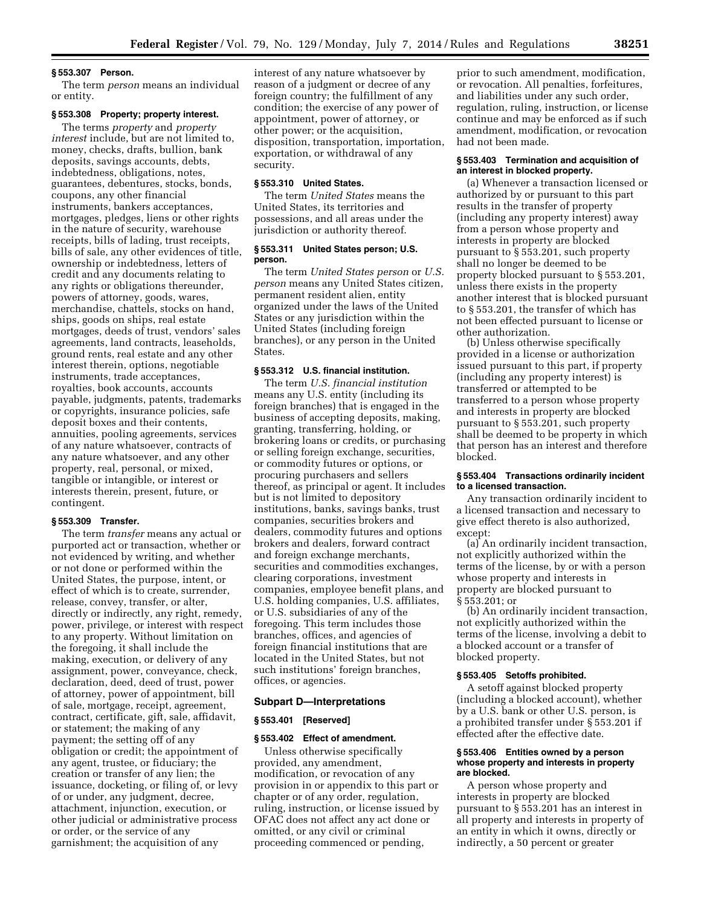#### **§ 553.307 Person.**

The term *person* means an individual or entity.

## **§ 553.308 Property; property interest.**

The terms *property* and *property interest* include, but are not limited to, money, checks, drafts, bullion, bank deposits, savings accounts, debts, indebtedness, obligations, notes, guarantees, debentures, stocks, bonds, coupons, any other financial instruments, bankers acceptances, mortgages, pledges, liens or other rights in the nature of security, warehouse receipts, bills of lading, trust receipts, bills of sale, any other evidences of title, ownership or indebtedness, letters of credit and any documents relating to any rights or obligations thereunder, powers of attorney, goods, wares, merchandise, chattels, stocks on hand, ships, goods on ships, real estate mortgages, deeds of trust, vendors' sales agreements, land contracts, leaseholds, ground rents, real estate and any other interest therein, options, negotiable instruments, trade acceptances, royalties, book accounts, accounts payable, judgments, patents, trademarks or copyrights, insurance policies, safe deposit boxes and their contents, annuities, pooling agreements, services of any nature whatsoever, contracts of any nature whatsoever, and any other property, real, personal, or mixed, tangible or intangible, or interest or interests therein, present, future, or contingent.

## **§ 553.309 Transfer.**

The term *transfer* means any actual or purported act or transaction, whether or not evidenced by writing, and whether or not done or performed within the United States, the purpose, intent, or effect of which is to create, surrender, release, convey, transfer, or alter, directly or indirectly, any right, remedy, power, privilege, or interest with respect to any property. Without limitation on the foregoing, it shall include the making, execution, or delivery of any assignment, power, conveyance, check, declaration, deed, deed of trust, power of attorney, power of appointment, bill of sale, mortgage, receipt, agreement, contract, certificate, gift, sale, affidavit, or statement; the making of any payment; the setting off of any obligation or credit; the appointment of any agent, trustee, or fiduciary; the creation or transfer of any lien; the issuance, docketing, or filing of, or levy of or under, any judgment, decree, attachment, injunction, execution, or other judicial or administrative process or order, or the service of any garnishment; the acquisition of any

interest of any nature whatsoever by reason of a judgment or decree of any foreign country; the fulfillment of any condition; the exercise of any power of appointment, power of attorney, or other power; or the acquisition, disposition, transportation, importation, exportation, or withdrawal of any security.

#### **§ 553.310 United States.**

The term *United States* means the United States, its territories and possessions, and all areas under the jurisdiction or authority thereof.

### **§ 553.311 United States person; U.S. person.**

The term *United States person* or *U.S. person* means any United States citizen, permanent resident alien, entity organized under the laws of the United States or any jurisdiction within the United States (including foreign branches), or any person in the United States.

## **§ 553.312 U.S. financial institution.**

The term *U.S. financial institution*  means any U.S. entity (including its foreign branches) that is engaged in the business of accepting deposits, making, granting, transferring, holding, or brokering loans or credits, or purchasing or selling foreign exchange, securities, or commodity futures or options, or procuring purchasers and sellers thereof, as principal or agent. It includes but is not limited to depository institutions, banks, savings banks, trust companies, securities brokers and dealers, commodity futures and options brokers and dealers, forward contract and foreign exchange merchants, securities and commodities exchanges, clearing corporations, investment companies, employee benefit plans, and U.S. holding companies, U.S. affiliates, or U.S. subsidiaries of any of the foregoing. This term includes those branches, offices, and agencies of foreign financial institutions that are located in the United States, but not such institutions' foreign branches, offices, or agencies.

#### **Subpart D—Interpretations**

### **§ 553.401 [Reserved]**

#### **§ 553.402 Effect of amendment.**

Unless otherwise specifically provided, any amendment, modification, or revocation of any provision in or appendix to this part or chapter or of any order, regulation, ruling, instruction, or license issued by OFAC does not affect any act done or omitted, or any civil or criminal proceeding commenced or pending,

prior to such amendment, modification, or revocation. All penalties, forfeitures, and liabilities under any such order, regulation, ruling, instruction, or license continue and may be enforced as if such amendment, modification, or revocation had not been made.

### **§ 553.403 Termination and acquisition of an interest in blocked property.**

(a) Whenever a transaction licensed or authorized by or pursuant to this part results in the transfer of property (including any property interest) away from a person whose property and interests in property are blocked pursuant to § 553.201, such property shall no longer be deemed to be property blocked pursuant to § 553.201, unless there exists in the property another interest that is blocked pursuant to § 553.201, the transfer of which has not been effected pursuant to license or other authorization.

(b) Unless otherwise specifically provided in a license or authorization issued pursuant to this part, if property (including any property interest) is transferred or attempted to be transferred to a person whose property and interests in property are blocked pursuant to § 553.201, such property shall be deemed to be property in which that person has an interest and therefore blocked.

## **§ 553.404 Transactions ordinarily incident to a licensed transaction.**

Any transaction ordinarily incident to a licensed transaction and necessary to give effect thereto is also authorized, except:

(a) An ordinarily incident transaction, not explicitly authorized within the terms of the license, by or with a person whose property and interests in property are blocked pursuant to § 553.201; or

(b) An ordinarily incident transaction, not explicitly authorized within the terms of the license, involving a debit to a blocked account or a transfer of blocked property.

## **§ 553.405 Setoffs prohibited.**

A setoff against blocked property (including a blocked account), whether by a U.S. bank or other U.S. person, is a prohibited transfer under § 553.201 if effected after the effective date.

### **§ 553.406 Entities owned by a person whose property and interests in property are blocked.**

A person whose property and interests in property are blocked pursuant to § 553.201 has an interest in all property and interests in property of an entity in which it owns, directly or indirectly, a 50 percent or greater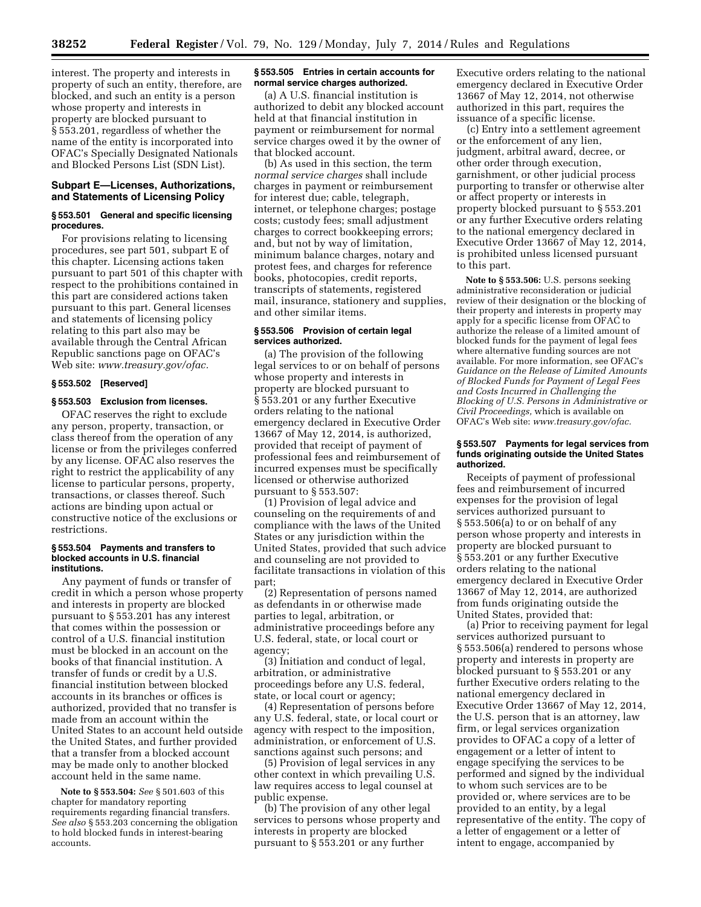interest. The property and interests in property of such an entity, therefore, are blocked, and such an entity is a person whose property and interests in property are blocked pursuant to § 553.201, regardless of whether the name of the entity is incorporated into OFAC's Specially Designated Nationals and Blocked Persons List (SDN List).

## **Subpart E—Licenses, Authorizations, and Statements of Licensing Policy**

## **§ 553.501 General and specific licensing procedures.**

For provisions relating to licensing procedures, see part 501, subpart E of this chapter. Licensing actions taken pursuant to part 501 of this chapter with respect to the prohibitions contained in this part are considered actions taken pursuant to this part. General licenses and statements of licensing policy relating to this part also may be available through the Central African Republic sanctions page on OFAC's Web site: *[www.treasury.gov/ofac.](http://www.treasury.gov/ofac)* 

## **§ 553.502 [Reserved]**

## **§ 553.503 Exclusion from licenses.**

OFAC reserves the right to exclude any person, property, transaction, or class thereof from the operation of any license or from the privileges conferred by any license. OFAC also reserves the right to restrict the applicability of any license to particular persons, property, transactions, or classes thereof. Such actions are binding upon actual or constructive notice of the exclusions or restrictions.

#### **§ 553.504 Payments and transfers to blocked accounts in U.S. financial institutions.**

Any payment of funds or transfer of credit in which a person whose property and interests in property are blocked pursuant to § 553.201 has any interest that comes within the possession or control of a U.S. financial institution must be blocked in an account on the books of that financial institution. A transfer of funds or credit by a U.S. financial institution between blocked accounts in its branches or offices is authorized, provided that no transfer is made from an account within the United States to an account held outside the United States, and further provided that a transfer from a blocked account may be made only to another blocked account held in the same name.

**Note to § 553.504:** *See* § 501.603 of this chapter for mandatory reporting requirements regarding financial transfers. *See also* § 553.203 concerning the obligation to hold blocked funds in interest-bearing accounts.

## **§ 553.505 Entries in certain accounts for normal service charges authorized.**

(a) A U.S. financial institution is authorized to debit any blocked account held at that financial institution in payment or reimbursement for normal service charges owed it by the owner of that blocked account.

(b) As used in this section, the term *normal service charges* shall include charges in payment or reimbursement for interest due; cable, telegraph, internet, or telephone charges; postage costs; custody fees; small adjustment charges to correct bookkeeping errors; and, but not by way of limitation, minimum balance charges, notary and protest fees, and charges for reference books, photocopies, credit reports, transcripts of statements, registered mail, insurance, stationery and supplies, and other similar items.

## **§ 553.506 Provision of certain legal services authorized.**

(a) The provision of the following legal services to or on behalf of persons whose property and interests in property are blocked pursuant to § 553.201 or any further Executive orders relating to the national emergency declared in Executive Order 13667 of May 12, 2014, is authorized, provided that receipt of payment of professional fees and reimbursement of incurred expenses must be specifically licensed or otherwise authorized pursuant to § 553.507:

(1) Provision of legal advice and counseling on the requirements of and compliance with the laws of the United States or any jurisdiction within the United States, provided that such advice and counseling are not provided to facilitate transactions in violation of this part;

(2) Representation of persons named as defendants in or otherwise made parties to legal, arbitration, or administrative proceedings before any U.S. federal, state, or local court or agency;

(3) Initiation and conduct of legal, arbitration, or administrative proceedings before any U.S. federal, state, or local court or agency;

(4) Representation of persons before any U.S. federal, state, or local court or agency with respect to the imposition, administration, or enforcement of U.S. sanctions against such persons; and

(5) Provision of legal services in any other context in which prevailing U.S. law requires access to legal counsel at public expense.

(b) The provision of any other legal services to persons whose property and interests in property are blocked pursuant to § 553.201 or any further

Executive orders relating to the national emergency declared in Executive Order 13667 of May 12, 2014, not otherwise authorized in this part, requires the issuance of a specific license.

(c) Entry into a settlement agreement or the enforcement of any lien, judgment, arbitral award, decree, or other order through execution, garnishment, or other judicial process purporting to transfer or otherwise alter or affect property or interests in property blocked pursuant to § 553.201 or any further Executive orders relating to the national emergency declared in Executive Order 13667 of May 12, 2014, is prohibited unless licensed pursuant to this part.

**Note to § 553.506:** U.S. persons seeking administrative reconsideration or judicial review of their designation or the blocking of their property and interests in property may apply for a specific license from OFAC to authorize the release of a limited amount of blocked funds for the payment of legal fees where alternative funding sources are not available. For more information, see OFAC's *Guidance on the Release of Limited Amounts of Blocked Funds for Payment of Legal Fees and Costs Incurred in Challenging the Blocking of U.S. Persons in Administrative or Civil Proceedings,* which is available on OFAC's Web site: *[www.treasury.gov/ofac.](http://www.treasury.gov/ofac)* 

### **§ 553.507 Payments for legal services from funds originating outside the United States authorized.**

Receipts of payment of professional fees and reimbursement of incurred expenses for the provision of legal services authorized pursuant to § 553.506(a) to or on behalf of any person whose property and interests in property are blocked pursuant to § 553.201 or any further Executive orders relating to the national emergency declared in Executive Order 13667 of May 12, 2014, are authorized from funds originating outside the United States, provided that:

(a) Prior to receiving payment for legal services authorized pursuant to § 553.506(a) rendered to persons whose property and interests in property are blocked pursuant to § 553.201 or any further Executive orders relating to the national emergency declared in Executive Order 13667 of May 12, 2014, the U.S. person that is an attorney, law firm, or legal services organization provides to OFAC a copy of a letter of engagement or a letter of intent to engage specifying the services to be performed and signed by the individual to whom such services are to be provided or, where services are to be provided to an entity, by a legal representative of the entity. The copy of a letter of engagement or a letter of intent to engage, accompanied by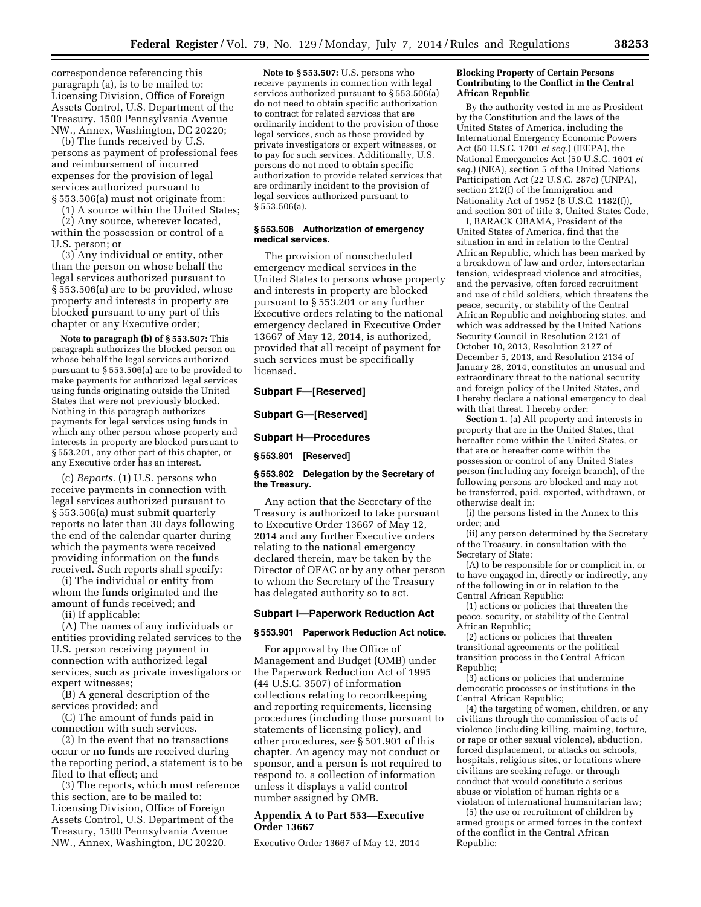correspondence referencing this paragraph (a), is to be mailed to: Licensing Division, Office of Foreign Assets Control, U.S. Department of the Treasury, 1500 Pennsylvania Avenue NW., Annex, Washington, DC 20220;

(b) The funds received by U.S. persons as payment of professional fees and reimbursement of incurred expenses for the provision of legal services authorized pursuant to § 553.506(a) must not originate from:

(1) A source within the United States;

(2) Any source, wherever located, within the possession or control of a U.S. person; or

(3) Any individual or entity, other than the person on whose behalf the legal services authorized pursuant to § 553.506(a) are to be provided, whose property and interests in property are blocked pursuant to any part of this chapter or any Executive order;

**Note to paragraph (b) of § 553.507:** This paragraph authorizes the blocked person on whose behalf the legal services authorized pursuant to § 553.506(a) are to be provided to make payments for authorized legal services using funds originating outside the United States that were not previously blocked. Nothing in this paragraph authorizes payments for legal services using funds in which any other person whose property and interests in property are blocked pursuant to § 553.201, any other part of this chapter, or any Executive order has an interest.

(c) *Reports.* (1) U.S. persons who receive payments in connection with legal services authorized pursuant to § 553.506(a) must submit quarterly reports no later than 30 days following the end of the calendar quarter during which the payments were received providing information on the funds received. Such reports shall specify:

(i) The individual or entity from whom the funds originated and the amount of funds received; and

(ii) If applicable:

(A) The names of any individuals or entities providing related services to the U.S. person receiving payment in connection with authorized legal services, such as private investigators or expert witnesses;

(B) A general description of the services provided; and

(C) The amount of funds paid in connection with such services.

(2) In the event that no transactions occur or no funds are received during the reporting period, a statement is to be filed to that effect; and

(3) The reports, which must reference this section, are to be mailed to: Licensing Division, Office of Foreign Assets Control, U.S. Department of the Treasury, 1500 Pennsylvania Avenue NW., Annex, Washington, DC 20220.

**Note to § 553.507:** U.S. persons who receive payments in connection with legal services authorized pursuant to § 553.506(a) do not need to obtain specific authorization to contract for related services that are ordinarily incident to the provision of those legal services, such as those provided by private investigators or expert witnesses, or to pay for such services. Additionally, U.S. persons do not need to obtain specific authorization to provide related services that are ordinarily incident to the provision of legal services authorized pursuant to § 553.506(a).

### **§ 553.508 Authorization of emergency medical services.**

The provision of nonscheduled emergency medical services in the United States to persons whose property and interests in property are blocked pursuant to § 553.201 or any further Executive orders relating to the national emergency declared in Executive Order 13667 of May 12, 2014, is authorized, provided that all receipt of payment for such services must be specifically licensed.

## **Subpart F—[Reserved]**

**Subpart G—[Reserved]** 

#### **Subpart H—Procedures**

**§ 553.801 [Reserved]** 

## **§ 553.802 Delegation by the Secretary of the Treasury.**

Any action that the Secretary of the Treasury is authorized to take pursuant to Executive Order 13667 of May 12, 2014 and any further Executive orders relating to the national emergency declared therein, may be taken by the Director of OFAC or by any other person to whom the Secretary of the Treasury has delegated authority so to act.

## **Subpart I—Paperwork Reduction Act**

#### **§ 553.901 Paperwork Reduction Act notice.**

For approval by the Office of Management and Budget (OMB) under the Paperwork Reduction Act of 1995 (44 U.S.C. 3507) of information collections relating to recordkeeping and reporting requirements, licensing procedures (including those pursuant to statements of licensing policy), and other procedures, *see* § 501.901 of this chapter. An agency may not conduct or sponsor, and a person is not required to respond to, a collection of information unless it displays a valid control number assigned by OMB.

## **Appendix A to Part 553—Executive Order 13667**

Executive Order 13667 of May 12, 2014

### **Blocking Property of Certain Persons Contributing to the Conflict in the Central African Republic**

By the authority vested in me as President by the Constitution and the laws of the United States of America, including the International Emergency Economic Powers Act (50 U.S.C. 1701 *et seq.*) (IEEPA), the National Emergencies Act (50 U.S.C. 1601 *et seq.*) (NEA), section 5 of the United Nations Participation Act (22 U.S.C. 287c) (UNPA), section 212(f) of the Immigration and Nationality Act of 1952 (8 U.S.C. 1182(f)), and section 301 of title 3, United States Code,

I, BARACK OBAMA, President of the United States of America, find that the situation in and in relation to the Central African Republic, which has been marked by a breakdown of law and order, intersectarian tension, widespread violence and atrocities, and the pervasive, often forced recruitment and use of child soldiers, which threatens the peace, security, or stability of the Central African Republic and neighboring states, and which was addressed by the United Nations Security Council in Resolution 2121 of October 10, 2013, Resolution 2127 of December 5, 2013, and Resolution 2134 of January 28, 2014, constitutes an unusual and extraordinary threat to the national security and foreign policy of the United States, and I hereby declare a national emergency to deal with that threat. I hereby order:

**Section 1.** (a) All property and interests in property that are in the United States, that hereafter come within the United States, or that are or hereafter come within the possession or control of any United States person (including any foreign branch), of the following persons are blocked and may not be transferred, paid, exported, withdrawn, or otherwise dealt in:

(i) the persons listed in the Annex to this order; and

(ii) any person determined by the Secretary of the Treasury, in consultation with the Secretary of State:

(A) to be responsible for or complicit in, or to have engaged in, directly or indirectly, any of the following in or in relation to the Central African Republic:

(1) actions or policies that threaten the peace, security, or stability of the Central African Republic;

(2) actions or policies that threaten transitional agreements or the political transition process in the Central African Republic;

(3) actions or policies that undermine democratic processes or institutions in the Central African Republic;

(4) the targeting of women, children, or any civilians through the commission of acts of violence (including killing, maiming, torture, or rape or other sexual violence), abduction, forced displacement, or attacks on schools, hospitals, religious sites, or locations where civilians are seeking refuge, or through conduct that would constitute a serious abuse or violation of human rights or a violation of international humanitarian law;

(5) the use or recruitment of children by armed groups or armed forces in the context of the conflict in the Central African Republic;